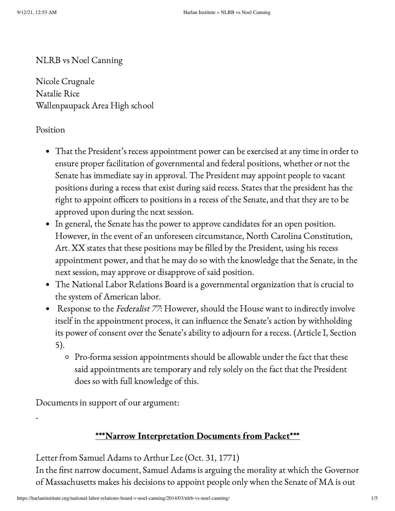NLRB vs Noel Canning

Nicole Crugnale Natalie Rice Wallenpaupack Area High school

### Position

- That the President's recess appointment power can be exercised at any time in order to ensure proper facilitation of governmental and federal positions, whether or not the Senate has immediate say in approval. The President may appoint people to vacant positions during a recess that exist during said recess. States that the president has the right to appoint officers to positions in a recess of the Senate, and that they are to be approved upon during the next session.
- In general, the Senate has the power to approve candidates for an open position. However, in the event of an unforeseen circumstance, North Carolina Constitution, Art. XX states that these positions may be filled by the President, using his recess appointment power, and that he may do so with the knowledge that the Senate, in the next session, may approve or disapprove of said position.
- The National Labor Relations Board is a governmental organization that is crucial to the system of American labor.
- Response to the Federalist 77: However, should the House want to indirectly involve itself in the appointment process, it can influence the Senate's action by withholding its power of consent over the Senate's ability to adjourn for a recess. (Article I, Section 5).
	- Pro-forma session appointments should be allowable under the fact that these said appointments are temporary and rely solely on the fact that the President does so with full knowledge of this.

Documents in support of our argument:

# \*\*\*Narrow Interpretation Documents from Packet\*\*\*

Letter from Samuel Adams to Arthur Lee (Oct. 31, 1771)

In the first narrow document, Samuel Adams is arguing the morality at which the Governor of Massachusetts makes his decisions to appoint people only when the Senate of MA is out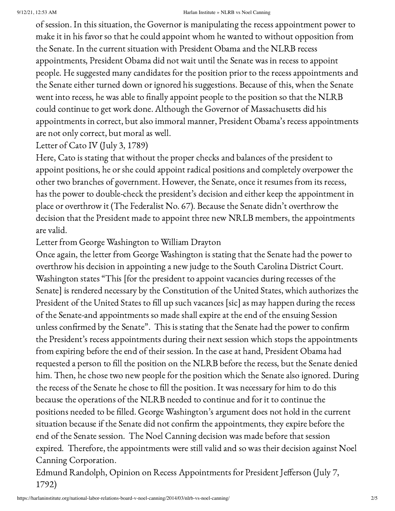of session. In this situation, the Governor is manipulating the recess appointment power to make it in his favor so that he could appoint whom he wanted to without opposition from the Senate. In the current situation with President Obama and the NLRB recess appointments, President Obama did not wait until the Senate was in recess to appoint people. He suggested many candidates for the position prior to the recess appointments and the Senate either turned down or ignored his suggestions. Because of this, when the Senate went into recess, he was able to finally appoint people to the position so that the NLRB could continue to get work done. Although the Governor of Massachusetts did his appointments in correct, but also immoral manner, President Obama's recess appointments are not only correct, but moral as well.

Letter of Cato IV (July 3, 1789)

Here, Cato is stating that without the proper checks and balances of the president to appoint positions, he or she could appoint radical positions and completely overpower the other two branches of government. However, the Senate, once it resumes from its recess, has the power to double-check the president's decision and either keep the appointment in place or overthrow it (The Federalist No. 67). Because the Senate didn't overthrow the decision that the President made to appoint three new NRLB members, the appointments are valid.

Letter from George Washington to William Drayton

Once again, the letter from George Washington is stating that the Senate had the power to overthrow his decision in appointing a new judge to the South Carolina District Court. Washington states "This [for the president to appoint vacancies during recesses of the Senate] is rendered necessary by the Constitution of the United States, which authorizes the President of the United States to fill up such vacances [sic] as may happen during the recess of the Senate-and appointments so made shall expire at the end of the ensuing Session unless confirmed by the Senate". This is stating that the Senate had the power to confirm the President's recess appointments during their next session which stops the appointments from expiring before the end of their session. In the case at hand, President Obama had requested a person to fill the position on the NLRB before the recess, but the Senate denied him. Then, he chose two new people for the position which the Senate also ignored. During the recess of the Senate he chose to fill the position. It was necessary for him to do this because the operations of the NLRB needed to continue and for it to continue the positions needed to be filled. George Washington's argument does not hold in the current situation because if the Senate did not confirm the appointments, they expire before the end of the Senate session. The Noel Canning decision was made before that session expired. Therefore, the appointments were still valid and so was their decision against Noel Canning Corporation.

Edmund Randolph, Opinion on Recess Appointments for President Jefferson (July 7, 1792)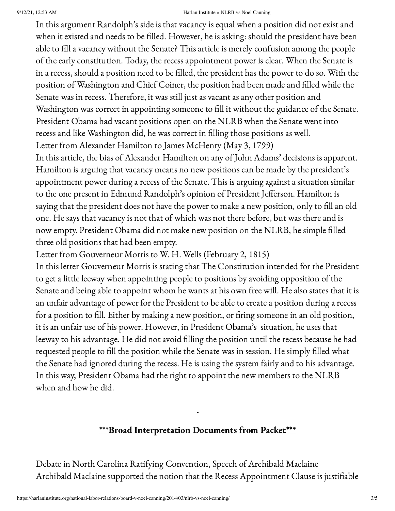In this argument Randolph's side is that vacancy is equal when a position did not exist and when it existed and needs to be filled. However, he is asking: should the president have been able to fill a vacancy without the Senate? This article is merely confusion among the people of the early constitution. Today, the recess appointment power is clear. When the Senate is in a recess, should a position need to be filled, the president has the power to do so. With the position of Washington and Chief Coiner, the position had been made and filled while the Senate was in recess. Therefore, it was still just as vacant as any other position and Washington was correct in appointing someone to fill it without the guidance of the Senate. President Obama had vacant positions open on the NLRB when the Senate went into recess and like Washington did, he was correct in filling those positions as well. Letter from Alexander Hamilton to James McHenry (May 3, 1799)

In this article, the bias of Alexander Hamilton on any of John Adams' decisions is apparent. Hamilton is arguing that vacancy means no new positions can be made by the president's appointment power during a recess of the Senate. This is arguing against a situation similar to the one present in Edmund Randolph's opinion of President Jefferson. Hamilton is saying that the president does not have the power to make a new position, only to fill an old one. He says that vacancy is not that of which was not there before, but was there and is now empty. President Obama did not make new position on the NLRB, he simple filled three old positions that had been empty.

Letter from Gouverneur Morris to W. H. Wells (February 2, 1815)

In this letter Gouverneur Morris is stating that The Constitution intended for the President to get a little leeway when appointing people to positions by avoiding opposition of the Senate and being able to appoint whom he wants at his own free will. He also states that it is an unfair advantage of power for the President to be able to create a position during a recess for a position to fill. Either by making a new position, or firing someone in an old position, it is an unfair use of his power. However, in President Obama's situation, he uses that leeway to his advantage. He did not avoid filling the position until the recess because he had requested people to fill the position while the Senate was in session. He simply filled what the Senate had ignored during the recess. He is using the system fairly and to his advantage. In this way, President Obama had the right to appoint the new members to the NLRB when and how he did.

# \*\*\*Broad Interpretation Documents from Packet\*\*\*

Debate in North Carolina Ratifying Convention, Speech of Archibald Maclaine Archibald Maclaine supported the notion that the Recess Appointment Clause is justifiable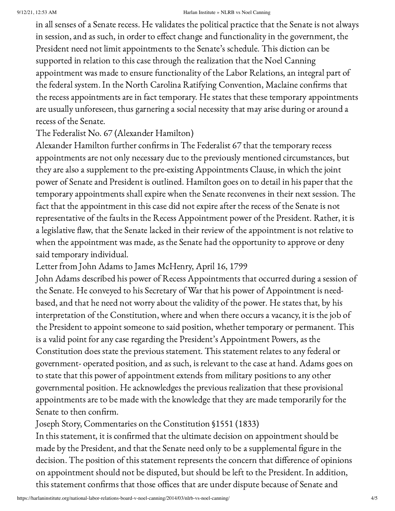in all senses of a Senate recess. He validates the political practice that the Senate is not always in session, and as such, in order to effect change and functionality in the government, the President need not limit appointments to the Senate's schedule. This diction can be supported in relation to this case through the realization that the Noel Canning appointment was made to ensure functionality of the Labor Relations, an integral part of the federal system. In the North Carolina Ratifying Convention, Maclaine confirms that the recess appointments are in fact temporary. He states that these temporary appointments are usually unforeseen, thus garnering a social necessity that may arise during or around a recess of the Senate.

The Federalist No. 67 (Alexander Hamilton)

Alexander Hamilton further confirms in The Federalist 67 that the temporary recess appointments are not only necessary due to the previously mentioned circumstances, but they are also a supplement to the pre-existing Appointments Clause, in which the joint power of Senate and President is outlined. Hamilton goes on to detail in his paper that the temporary appointments shall expire when the Senate reconvenes in their next session. The fact that the appointment in this case did not expire after the recess of the Senate is not representative of the faults in the Recess Appointment power of the President. Rather, it is a legislative flaw, that the Senate lacked in their review of the appointment is not relative to when the appointment was made, as the Senate had the opportunity to approve or deny said temporary individual.

Letter from John Adams to James McHenry, April 16, 1799

John Adams described his power of Recess Appointments that occurred during a session of the Senate. He conveyed to his Secretary of War that his power of Appointment is needbased, and that he need not worry about the validity of the power. He states that, by his interpretation of the Constitution, where and when there occurs a vacancy, it is the job of the President to appoint someone to said position, whether temporary or permanent. This is a valid point for any case regarding the President's Appointment Powers, as the Constitution does state the previous statement. This statement relates to any federal or government- operated position, and as such, is relevant to the case at hand. Adams goes on to state that this power of appointment extends from military positions to any other governmental position. He acknowledges the previous realization that these provisional appointments are to be made with the knowledge that they are made temporarily for the Senate to then confirm.

Joseph Story, Commentaries on the Constitution §1551 (1833)

In this statement, it is confirmed that the ultimate decision on appointment should be made by the President, and that the Senate need only to be a supplemental figure in the decision. The position of this statement represents the concern that difference of opinions on appointment should not be disputed, but should be left to the President. In addition, this statement confirms that those offices that are under dispute because of Senate and